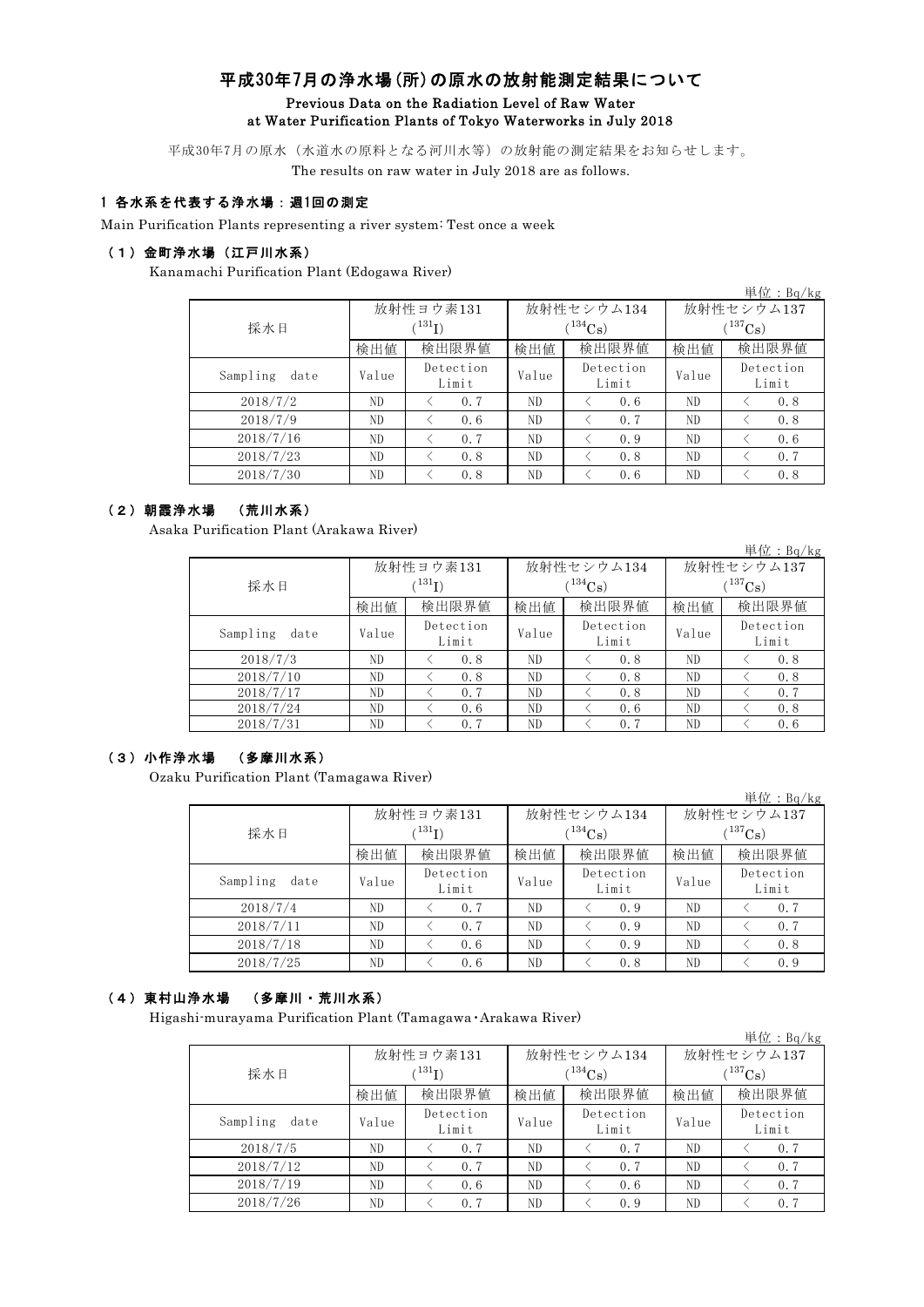# 平成30年7月の浄水場(所)の原水の放射能測定結果について Previous Data on the Radiation Level of Raw Water at Water Purification Plants of Tokyo Waterworks in July 2018

平成30年7月の原水(水道水の原料となる河川水等)の放射能の測定結果をお知らせします。 The results on raw water in July 2018 are as follows.

## 1 各水系を代表する浄水場:週1回の測定

Main Purification Plants representing a river system: Test once a week

### (1)金町浄水場(江戸川水系)

Kanamachi Purification Plant (Edogawa River)

|                  |       |                          |       |                    |              | $\frac{\cancel{\text{#}} \cancel{\text{tr}} : \text{Bq/kg}}{=}$ |  |
|------------------|-------|--------------------------|-------|--------------------|--------------|-----------------------------------------------------------------|--|
|                  |       | 放射性ヨウ素131                |       | 放射性セシウム134         | 放射性セシウム137   |                                                                 |  |
| 採水日              |       | $^{\prime\,131}{\rm I})$ |       | $(134)$ Cs         | $(^{137}Cs)$ |                                                                 |  |
|                  | 検出値   | 検出限界値                    | 検出値   | 検出限界値              | 検出値          | 検出限界値                                                           |  |
| Sampling<br>date | Value | Detection<br>Limit       | Value | Detection<br>Limit | Value        | Detection<br>Limit                                              |  |
| 2018/7/2         | ND    | 0.7                      | ND    | 0.6                | ND           | 0.8                                                             |  |
| 2018/7/9         | ND    | 0.6                      | ND    | 0.7                | ND.          | 0.8                                                             |  |
| 2018/7/16        | ND    | 0.7                      | ND    | 0.9                | ND           | 0.6                                                             |  |
| 2018/7/23        | ND    | 0.8                      | ND    | 0.8                | ND.          | 0.7                                                             |  |
| 2018/7/30        | ND    | 0.8                      | ND    | 0.6                | ND           | 0.8                                                             |  |

#### (2)朝霞浄水場 (荒川水系)

Asaka Purification Plant (Arakawa River)

|                  |             |                    |                          |                    |              | $\frac{\cancel{\text{#}}\text{#} \cdot \text{Bq/kg}}{}$ |  |
|------------------|-------------|--------------------|--------------------------|--------------------|--------------|---------------------------------------------------------|--|
|                  |             | 放射性ヨウ素131          |                          | 放射性セシウム134         | 放射性セシウム137   |                                                         |  |
| 採水日              | $(^{131}I)$ |                    | $\binom{134}{\text{Cs}}$ |                    | $(^{137}Cs)$ |                                                         |  |
|                  | 検出値         | 検出限界値              | 検出値                      | 検出限界値              | 検出値          | 検出限界値                                                   |  |
| Sampling<br>date | Value       | Detection<br>Limit | Value                    | Detection<br>Limit | Value        | Detection<br>Limit                                      |  |
| 2018/7/3         | ND          | 0.8                | ND.                      | 0.8                | ND           | 0.8                                                     |  |
| 2018/7/10        | ND          | 0.8                | ND.                      | 0.8                | ND           | 0.8                                                     |  |
| 2018/7/17        | ND          | 0.7                | ND.                      | 0.8                | ND           | 0.7                                                     |  |
| 2018/7/24        | ND          | 0.6                | ND                       | 0.6                | ND           | 0.8                                                     |  |
| 2018/7/31        | ND          | 0.7                | ND                       | 0.7                | ND           | 0.6                                                     |  |

#### (3)小作浄水場 (多摩川水系)

Ozaku Purification Plant (Tamagawa River)

|                  |       |                          |       |                        |                            | $+12.1$ $+14/18$   |  |
|------------------|-------|--------------------------|-------|------------------------|----------------------------|--------------------|--|
| 採水日              |       | 放射性ヨウ素131<br>$^{131}$ I) |       | 放射性セシウム134<br>$134C_8$ | 放射性セシウム137<br>$(^{137}Cs)$ |                    |  |
|                  | 検出値   | 検出限界値                    | 検出値   | 検出限界値                  | 検出値                        | 検出限界値              |  |
| Sampling<br>date | Value | Detection<br>Limit       | Value | Detection<br>Limit     | Value                      | Detection<br>Limit |  |
| 2018/7/4         | ND.   | 0.7                      | ND    | 0.9                    | ND.                        | 0, 7               |  |
| 2018/7/11        | ND    | 0.7                      | ND    | 0.9                    | ND                         | 0.7                |  |
| 2018/7/18        | ND    | 0.6                      | ND    | 0.9                    | ND                         | 0.8                |  |
| 2018/7/25        | ND.   | 0.6                      | ND    | 0.8                    | ND                         | 0.9                |  |

単位:Bq/kg

#### (4)東村山浄水場 (多摩川・荒川水系)

Higashi-murayama Purification Plant (Tamagawa・Arakawa River)

|                  |       |                      |       |                    |              | 単位: $Bq/kg$        |  |
|------------------|-------|----------------------|-------|--------------------|--------------|--------------------|--|
|                  |       | 放射性ヨウ素131            |       | 放射性セシウム134         | 放射性セシウム137   |                    |  |
| 採水日              |       | $({}^{131}\text{I})$ |       | $(134)$ Cs         | $(^{137}Cs)$ |                    |  |
|                  | 検出値   | 検出限界値                | 検出値   | 検出限界値              | 検出値          | 検出限界値              |  |
| Sampling<br>date | Value | Detection<br>Limit   | Value | Detection<br>Limit | Value        | Detection<br>Limit |  |
| 2018/7/5         | ND    | 0.7                  | ND.   | 0.7                | ND.          | 0.7                |  |
| 2018/7/12        | ND    | 0.7                  | ND.   | 0.7                | ND.          | 0.7                |  |
| 2018/7/19        | ND    | 0.6                  | ND.   | 0.6                | ND           | 0.7                |  |
| 2018/7/26        | ND    | 0.7                  | ND.   | 0.9                | ND           | 0, 7               |  |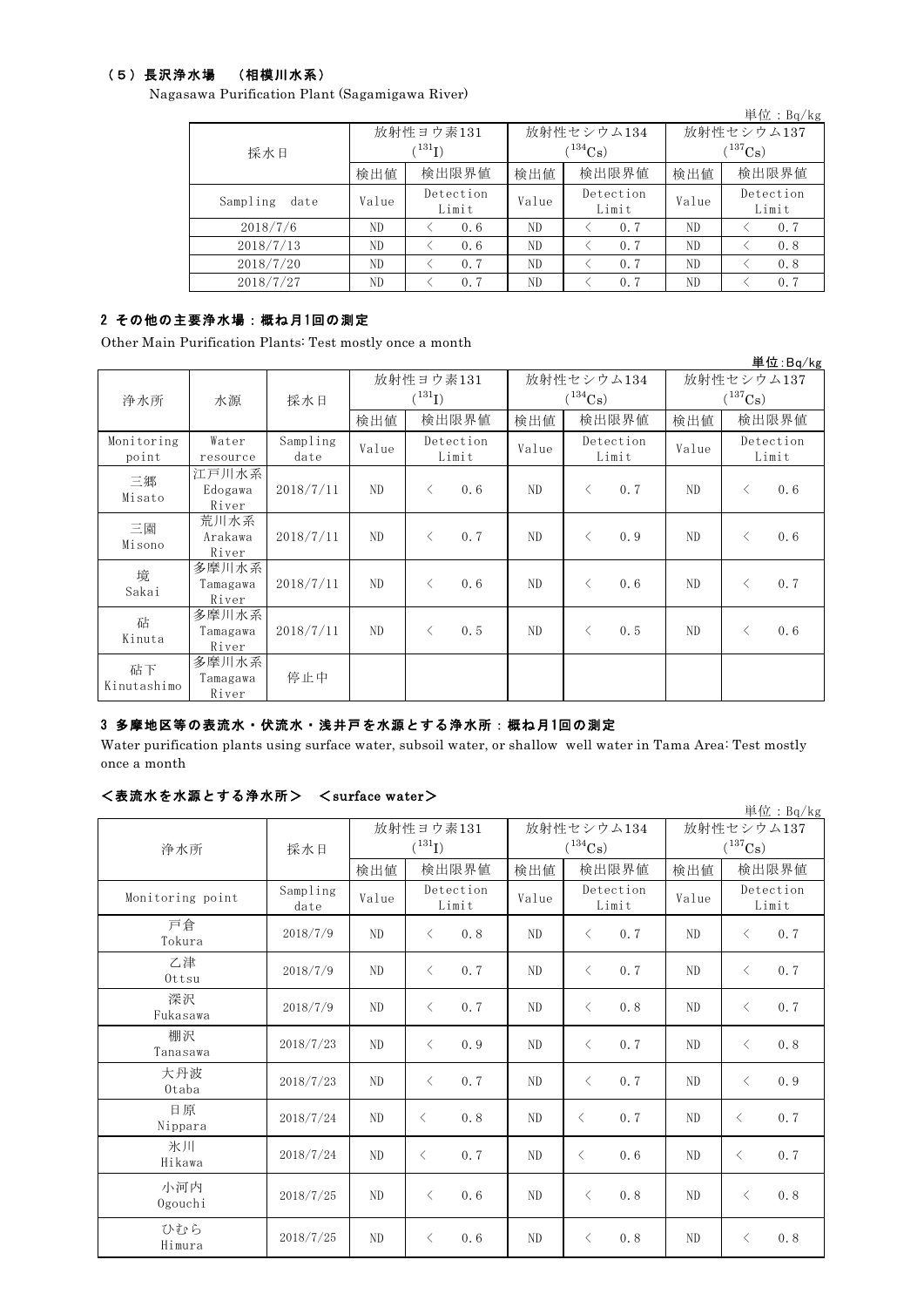### (5)長沢浄水場 (相模川水系)

Nagasawa Purification Plant (Sagamigawa River)

|                  |       |                             |       |                    |              | 単位:Bq/kg           |  |
|------------------|-------|-----------------------------|-------|--------------------|--------------|--------------------|--|
|                  |       | 放射性ヨウ素131                   |       | 放射性セシウム134         | 放射性セシウム137   |                    |  |
| 採水日              |       | $\langle ^{131}\mathrm{I})$ |       | $(^{134}Cs)$       | $(^{137}Cs)$ |                    |  |
|                  | 検出値   | 検出限界値                       | 検出値   | 検出限界値              | 検出値          | 検出限界値              |  |
| Sampling<br>date | Value | Detection<br>Limit          | Value | Detection<br>Limit | Value        | Detection<br>Limit |  |
| 2018/7/6         | ND    | 0.6                         | ND    | 0.7                | ND           | 0.7                |  |
| 2018/7/13        | ND    | 0.6                         | ND    | 0.7                | ND           | 0.8                |  |
| 2018/7/20        | ND    | 0.7                         | ND    | 0.7                | ND           | 0.8                |  |
| 2018/7/27        | ND    | 0.7                         | ND    | 0.7                | ND           | 0.7                |  |

### 2 その他の主要浄水場:概ね月1回の測定

Other Main Purification Plants: Test mostly once a month

|                   |                            |           |                                   |           |                            |       |           |                            |       |           | 単位:Bq/kg  |
|-------------------|----------------------------|-----------|-----------------------------------|-----------|----------------------------|-------|-----------|----------------------------|-------|-----------|-----------|
|                   |                            |           | 放射性ヨウ素131<br>$({}^{131}\text{I})$ |           | 放射性セシウム134<br>$(^{134}Cs)$ |       |           | 放射性セシウム137<br>$(^{137}Cs)$ |       |           |           |
| 浄水所               | 水源                         | 採水日       |                                   |           |                            |       |           |                            |       |           |           |
|                   |                            |           | 検出値                               |           | 検出限界値                      | 検出値   |           | 検出限界値                      | 検出値   |           | 検出限界値     |
| Monitoring        | Water                      | Sampling  | Value                             |           | Detection                  | Value |           | Detection                  | Value |           | Detection |
| point             | resource                   | date      |                                   |           | Limit                      |       |           | Limit                      |       |           | Limit     |
| 三郷                | 江戸川水系                      | 2018/7/11 | ND                                | $\langle$ |                            | ND    | $\langle$ | 0.7                        | ND    | $\langle$ | 0.6       |
| Misato            | Edogawa<br>River           |           |                                   |           | 0.6                        |       |           |                            |       |           |           |
| 三園                | 荒川水系                       |           |                                   |           |                            |       |           |                            |       |           |           |
| Misono            | Arakawa<br>River           | 2018/7/11 | ND                                | $\langle$ | 0.7                        | ND    | $\langle$ | 0.9                        | ND    | $\langle$ | 0.6       |
| 境<br>Sakai        | 多摩川水系<br>Tamagawa<br>River | 2018/7/11 | ND                                | $\langle$ | 0.6                        | ND    | $\langle$ | 0.6                        | ND    | $\langle$ | 0.7       |
| 砧<br>Kinuta       | 多摩川水系<br>Tamagawa<br>River | 2018/7/11 | ND                                | $\langle$ | 0.5                        | ND    | $\langle$ | 0.5                        | ND    | $\langle$ | 0.6       |
| 砧下<br>Kinutashimo | 多摩川水系<br>Tamagawa<br>River | 停止中       |                                   |           |                            |       |           |                            |       |           |           |

### 3 多摩地区等の表流水・伏流水・浅井戸を水源とする浄水所:概ね月1回の測定

Water purification plants using surface water, subsoil water, or shallow well water in Tama Area: Test mostly once a month

#### <表流水を水源とする浄水所> <surface water>

| $\sim$ $\omega$ $\sim$ $\sim$ $\sim$ $\sim$ $\sim$ $\sim$ $\sim$ | 20111117         |                |                    |                |                       |                | 単位: Bq/kg             |
|------------------------------------------------------------------|------------------|----------------|--------------------|----------------|-----------------------|----------------|-----------------------|
|                                                                  |                  |                | 放射性ヨウ素131          |                | 放射性セシウム134            | 放射性セシウム137     |                       |
| 浄水所                                                              | 採水日              |                | $(^{131}I)$        |                | $(^{134}\mathrm{Cs})$ |                | $(^{137}\mathrm{Cs})$ |
|                                                                  |                  | 検出値            | 検出限界値              | 検出値            | 検出限界値                 | 検出値            | 検出限界値                 |
| Monitoring point                                                 | Sampling<br>date | Value          | Detection<br>Limit | Value          | Detection<br>Limit    | Value          | Detection<br>Limit    |
| 戸倉<br>Tokura                                                     | 2018/7/9         | ND             | 0.8<br>$\langle$   | N <sub>D</sub> | 0, 7<br>$\lt$         | ND             | 0.7<br>$\lt$          |
| 乙津<br>Ottsu                                                      | 2018/7/9         | ND             | $\langle$<br>0.7   | ND             | $\lt$<br>0.7          | ND             | 0.7<br>$\langle$      |
| 深沢<br>Fukasawa                                                   | 2018/7/9         | ND             | 0.7<br>$\langle$   | ND             | $\lt$<br>0.8          | ND             | $\langle$<br>0.7      |
| 棚沢<br>Tanasawa                                                   | 2018/7/23        | N <sub>D</sub> | 0.9<br>$\langle$   | ND             | 0.7<br>$\langle$      | ND             | $\langle$<br>0.8      |
| 大丹波<br>Otaba                                                     | 2018/7/23        | ND             | 0.7<br>$\langle$   | ND             | 0.7<br>$\langle$      | ND             | 0.9<br>$\langle$      |
| 日原<br>Nippara                                                    | 2018/7/24        | ND             | 0.8<br>$\langle$   | ND             | 0.7<br>$\langle$      | ND             | 0.7<br>$\langle$      |
| 氷川<br>Hikawa                                                     | 2018/7/24        | ND             | 0.7<br>$\langle$   | ND             | $\langle$<br>0.6      | ND             | $\langle$<br>0.7      |
| 小河内<br>Ogouchi                                                   | 2018/7/25        | ND             | 0.6<br>$\langle$   | ND             | 0.8<br>$\langle$      | ND             | 0.8<br>$\langle$      |
| ひむら<br>Himura                                                    | 2018/7/25        | N <sub>D</sub> | 0.6<br>$\langle$   | N <sub>D</sub> | 0.8<br>$\langle$      | N <sub>D</sub> | 0.8<br>$\langle$      |